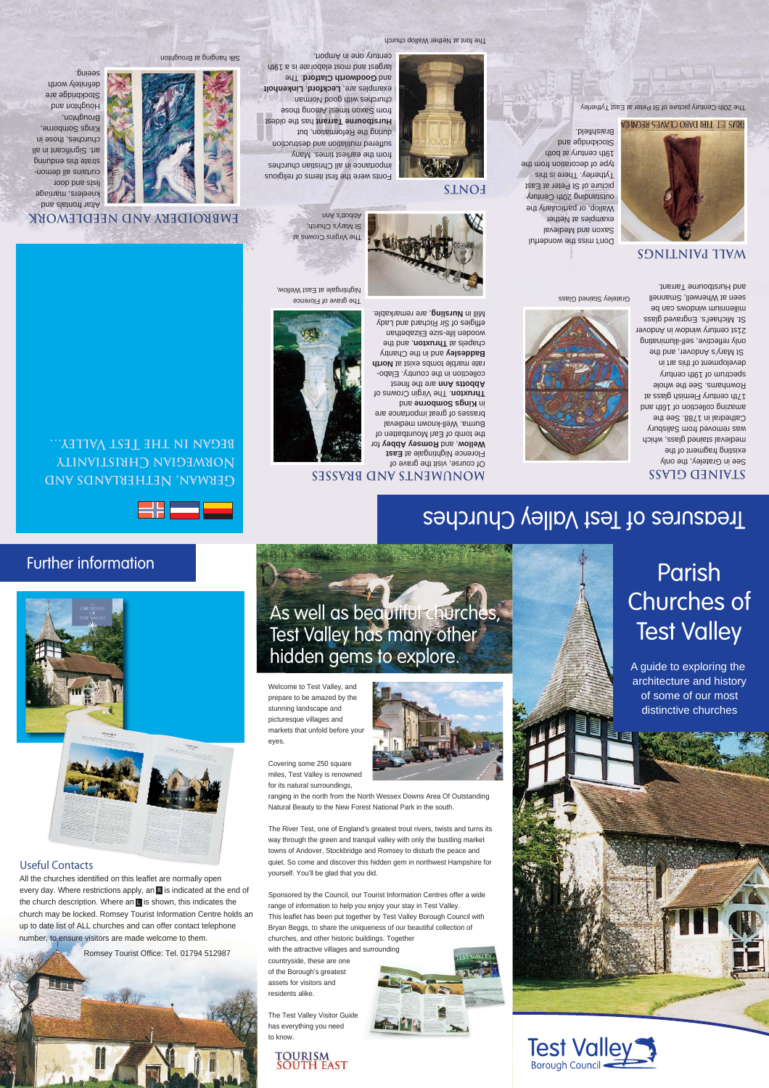#### The font at Nether Wallop church

century one in Amport.

Fonts were the first items of religious importance in all Christian churches Hurstbourne 1 arrant has the oldest **Leckford, Linkenholt** examples are, Lecktord, and Goodworth Clatford. The largest and most elaborate is a 19th

suffered mutilation and destruction from Saxon times! Among those cuncues with good norman

during the Reformation, but

from the earliest times. Many

The SUMOTO SUIDING ALL  $S$  Mary  $S$  Church, Abbott's Ann

Silk hanging at Broughton

Altar frontals and kneelers, marriage lists and door curtains all demonstrate this enduring art. Significant in all cuncuez' tuoze iu Kings Souporne, **Broughnon,** pue youghou Stockbridge are definitiely worth seeing.



The grave of Florence Nightingale at East Wellow,



**German, Netherlands and Norwegian Christianity began in the Test Valley…**

**EMBROIDERY AND NEEDLEWORK**



# Further information



#### **Useful Contacts**

All the churches identified on this leaflet are normally open every day. Where restrictions apply, an **R** is indicated at the end of the church description. Where an  $\blacksquare$  is shown, this indicates the church may be locked. Romsey Tourist Information Centre holds an up to date list of ALL churches and can offer contact telephone number, to ensure visitors are made welcome to them.



Test Valley has many other riddan nams to a THUGHT gut As well as beautiful churches, hidden gems to explore.

**MONUMENTS AND BRASSES**

Of course, visit the grave of Florence Nightingale at East for **Romsey Abbey** , and **Wellow** the tomb of Earl Mountbatten of Burma. Well-known medieval brasses of great importance are pue **au.oquos sbury** un **u Druxton i Damidin Crowns or** teenit edt ene finest collection in the country. Elaborate marble tombs exist at North **and early support August August** chapels at **I hruxton**, and the wooden life-size Elizabethan effigies of Sir Richard and Lady , are remarkable. **Nursling** Mill in

**RANGE THE** 

Welcome to Test Valley, and prepare to be amazed by the stunning landscape and picturesque villages and markets that unfold before your eyes.

Covering some 250 square miles, Test Valley is renowned for its natural surroundings,

for its natural surroundings,<br>ranging in the north from the North Wessex Downs Area Of Outstanding Natural Beauty to the New Forest National Park in the south.

The River Test, one of England's greatest trout rivers, twists and turns its way through the green and tranquil valley with only the bustling market towns of Andover, Stockbridge and Romsey to disturb the peace and quiet. So come and discover this hidden gem in northwest Hampshire for yourself. You'll be glad that you did.

Sponsored by the Council, our Tourist Information Centres offer a wide range of information to help you enjoy your stay in Test Valley. This leaflet has been put together by Test Valley Borough Council with Bryan Beggs, to share the uniqueness of our beautiful collection of churches, and other historic buildings. Together

with the attractive villages and surrounding countryside, these are one of the Borough's greatest assets for visitors and residents alike.

The Test Valley Visitor Guide has everything you need to know.

# **TOURISM<br>SOUTH EAST**



# Parish Churches of **Test Valley**

A guide to exploring the architecture and history of some of our most distinctive churches



## Rownhams. See the whole spectrum of 19th century development of this art in St Mary's Andover, and the only reflective, self-illuminating 21st century window in Andover

and Hurstbourne Tarrant.

**SONILNIVA TIVM** 

The 20th Century picture of St Peter at East Tytherley.

**FUSET TIBI DABO CLAVES REGNICA** 

St. Michael's. Engraved glass an illen sandbully windows can be seen at Wherwell, Smannell

Grateley Stained Glass



**Braishtheld.**